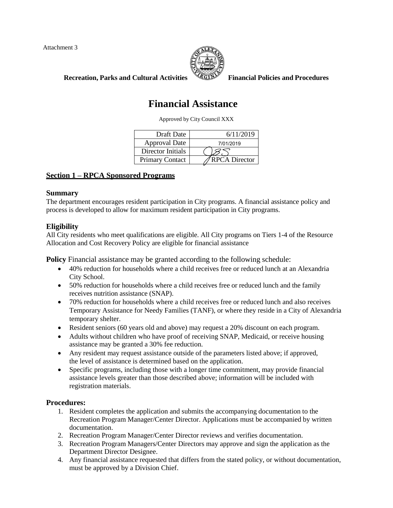Attachment 3



**Recreation, Parks and Cultural Activities Financial Policies and Procedures**

# **Financial Assistance**

Approved by City Council XXX

| Draft Date             | 6/11/2019            |
|------------------------|----------------------|
| <b>Approval Date</b>   | 7/01/2019            |
| Director Initials      |                      |
| <b>Primary Contact</b> | <b>RPCA Director</b> |

# **Section 1 – RPCA Sponsored Programs**

## **Summary**

The department encourages resident participation in City programs. A financial assistance policy and process is developed to allow for maximum resident participation in City programs.

# **Eligibility**

All City residents who meet qualifications are eligible. All City programs on Tiers 1-4 of the Resource Allocation and Cost Recovery Policy are eligible for financial assistance

**Policy** Financial assistance may be granted according to the following schedule:

- 40% reduction for households where a child receives free or reduced lunch at an Alexandria City School.
- 50% reduction for households where a child receives free or reduced lunch and the family receives nutrition assistance (SNAP).
- 70% reduction for households where a child receives free or reduced lunch and also receives Temporary Assistance for Needy Families (TANF), or where they reside in a City of Alexandria temporary shelter.
- Resident seniors (60 years old and above) may request a 20% discount on each program.
- Adults without children who have proof of receiving SNAP, Medicaid, or receive housing assistance may be granted a 30% fee reduction.
- Any resident may request assistance outside of the parameters listed above; if approved, the level of assistance is determined based on the application.
- Specific programs, including those with a longer time commitment, may provide financial assistance levels greater than those described above; information will be included with registration materials.

# **Procedures:**

- 1. Resident completes the application and submits the accompanying documentation to the Recreation Program Manager/Center Director. Applications must be accompanied by written documentation.
- 2. Recreation Program Manager/Center Director reviews and verifies documentation.
- 3. Recreation Program Managers/Center Directors may approve and sign the application as the Department Director Designee.
- 4. Any financial assistance requested that differs from the stated policy, or without documentation, must be approved by a Division Chief.